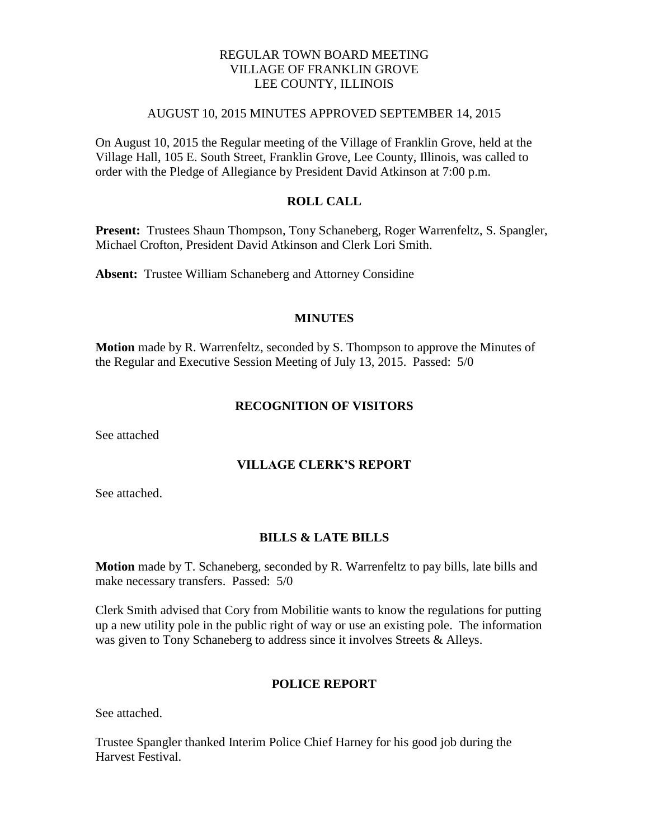## REGULAR TOWN BOARD MEETING VILLAGE OF FRANKLIN GROVE LEE COUNTY, ILLINOIS

### AUGUST 10, 2015 MINUTES APPROVED SEPTEMBER 14, 2015

On August 10, 2015 the Regular meeting of the Village of Franklin Grove, held at the Village Hall, 105 E. South Street, Franklin Grove, Lee County, Illinois, was called to order with the Pledge of Allegiance by President David Atkinson at 7:00 p.m.

### **ROLL CALL**

**Present:** Trustees Shaun Thompson, Tony Schaneberg, Roger Warrenfeltz, S. Spangler, Michael Crofton, President David Atkinson and Clerk Lori Smith.

**Absent:** Trustee William Schaneberg and Attorney Considine

#### **MINUTES**

**Motion** made by R. Warrenfeltz, seconded by S. Thompson to approve the Minutes of the Regular and Executive Session Meeting of July 13, 2015. Passed: 5/0

### **RECOGNITION OF VISITORS**

See attached

#### **VILLAGE CLERK'S REPORT**

See attached.

#### **BILLS & LATE BILLS**

**Motion** made by T. Schaneberg, seconded by R. Warrenfeltz to pay bills, late bills and make necessary transfers. Passed: 5/0

Clerk Smith advised that Cory from Mobilitie wants to know the regulations for putting up a new utility pole in the public right of way or use an existing pole. The information was given to Tony Schaneberg to address since it involves Streets & Alleys.

#### **POLICE REPORT**

See attached.

Trustee Spangler thanked Interim Police Chief Harney for his good job during the Harvest Festival.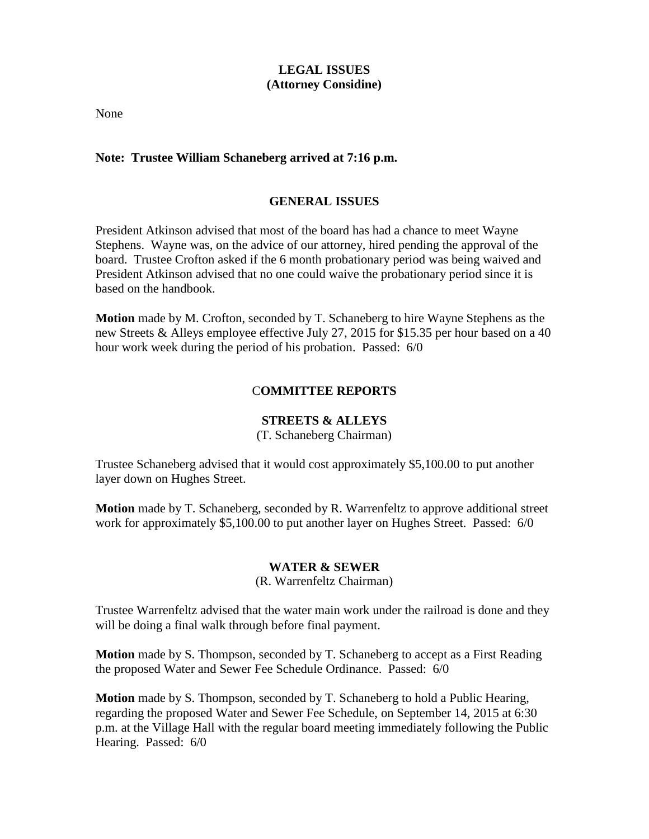# **LEGAL ISSUES (Attorney Considine)**

None

### **Note: Trustee William Schaneberg arrived at 7:16 p.m.**

### **GENERAL ISSUES**

President Atkinson advised that most of the board has had a chance to meet Wayne Stephens. Wayne was, on the advice of our attorney, hired pending the approval of the board. Trustee Crofton asked if the 6 month probationary period was being waived and President Atkinson advised that no one could waive the probationary period since it is based on the handbook.

**Motion** made by M. Crofton, seconded by T. Schaneberg to hire Wayne Stephens as the new Streets & Alleys employee effective July 27, 2015 for \$15.35 per hour based on a 40 hour work week during the period of his probation. Passed: 6/0

### C**OMMITTEE REPORTS**

### **STREETS & ALLEYS**

(T. Schaneberg Chairman)

Trustee Schaneberg advised that it would cost approximately \$5,100.00 to put another layer down on Hughes Street.

**Motion** made by T. Schaneberg, seconded by R. Warrenfeltz to approve additional street work for approximately \$5,100.00 to put another layer on Hughes Street. Passed: 6/0

### **WATER & SEWER**

(R. Warrenfeltz Chairman)

Trustee Warrenfeltz advised that the water main work under the railroad is done and they will be doing a final walk through before final payment.

**Motion** made by S. Thompson, seconded by T. Schaneberg to accept as a First Reading the proposed Water and Sewer Fee Schedule Ordinance. Passed: 6/0

**Motion** made by S. Thompson, seconded by T. Schaneberg to hold a Public Hearing, regarding the proposed Water and Sewer Fee Schedule, on September 14, 2015 at 6:30 p.m. at the Village Hall with the regular board meeting immediately following the Public Hearing. Passed: 6/0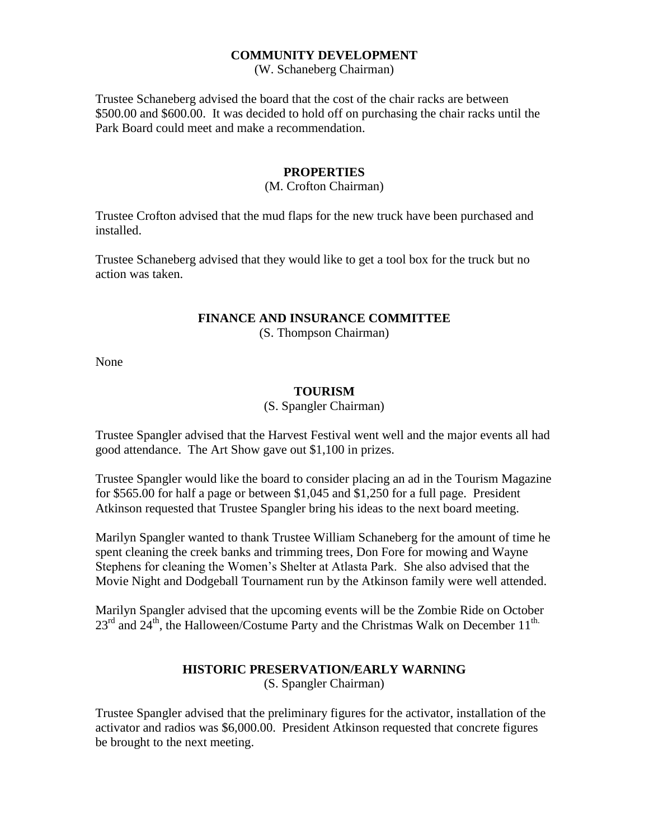### **COMMUNITY DEVELOPMENT**

(W. Schaneberg Chairman)

Trustee Schaneberg advised the board that the cost of the chair racks are between \$500.00 and \$600.00. It was decided to hold off on purchasing the chair racks until the Park Board could meet and make a recommendation.

#### **PROPERTIES**

### (M. Crofton Chairman)

Trustee Crofton advised that the mud flaps for the new truck have been purchased and installed.

Trustee Schaneberg advised that they would like to get a tool box for the truck but no action was taken.

# **FINANCE AND INSURANCE COMMITTEE**

(S. Thompson Chairman)

None

#### **TOURISM**

#### (S. Spangler Chairman)

Trustee Spangler advised that the Harvest Festival went well and the major events all had good attendance. The Art Show gave out \$1,100 in prizes.

Trustee Spangler would like the board to consider placing an ad in the Tourism Magazine for \$565.00 for half a page or between \$1,045 and \$1,250 for a full page. President Atkinson requested that Trustee Spangler bring his ideas to the next board meeting.

Marilyn Spangler wanted to thank Trustee William Schaneberg for the amount of time he spent cleaning the creek banks and trimming trees, Don Fore for mowing and Wayne Stephens for cleaning the Women's Shelter at Atlasta Park. She also advised that the Movie Night and Dodgeball Tournament run by the Atkinson family were well attended.

Marilyn Spangler advised that the upcoming events will be the Zombie Ride on October  $23<sup>rd</sup>$  and  $24<sup>th</sup>$ , the Halloween/Costume Party and the Christmas Walk on December 11<sup>th.</sup>

#### **HISTORIC PRESERVATION/EARLY WARNING** (S. Spangler Chairman)

Trustee Spangler advised that the preliminary figures for the activator, installation of the activator and radios was \$6,000.00. President Atkinson requested that concrete figures be brought to the next meeting.